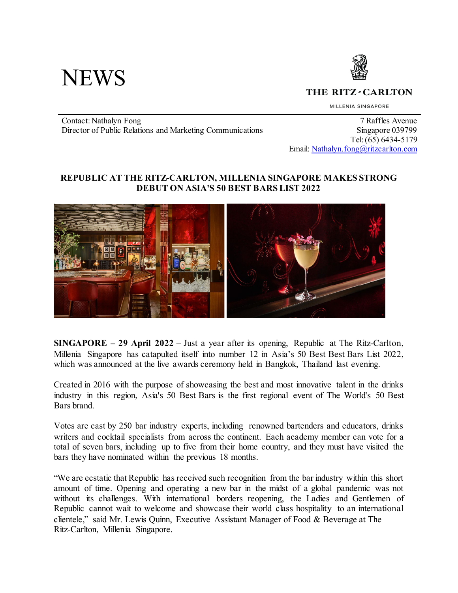



THE RITZ-CARLTON

MILLENIA SINGAPORE

Contact: Nathalyn Fong 7 Raffles Avenue Director of Public Relations and Marketing Communications Singapore 039799

 Tel: (65) 6434-5179 Email: [Nathalyn.fong@ritzcarlton.com](mailto:Nathalyn.fong@ritzcarlton.com)

## **REPUBLIC AT THE RITZ-CARLTON, MILLENIA SINGAPORE MAKES STRONG DEBUT ON ASIA'S 50 BEST BARS LIST 2022**



**SINGAPORE – 29 April 2022** – Just a year after its opening, Republic at The Ritz-Carlton, Millenia Singapore has catapulted itself into number 12 in Asia's 50 Best Best Bars List 2022, which was announced at the live awards ceremony held in Bangkok, Thailand last evening.

Created in 2016 with the purpose of showcasing the best and most innovative talent in the drinks industry in this region, Asia's 50 Best Bars is the first regional event of The World's 50 Best Bars brand.

Votes are cast by 250 bar industry experts, including renowned bartenders and educators, drinks writers and cocktail specialists from across the continent. Each academy member can vote for a total of seven bars, including up to five from their home country, and they must have visited the bars they have nominated within the previous 18 months.

"We are ecstatic that Republic has received such recognition from the bar industry within this short amount of time. Opening and operating a new bar in the midst of a global pandemic was not without its challenges. With international borders reopening, the Ladies and Gentlemen of Republic cannot wait to welcome and showcase their world class hospitality to an international clientele," said Mr. Lewis Quinn, Executive Assistant Manager of Food & Beverage at The Ritz-Carlton, Millenia Singapore.